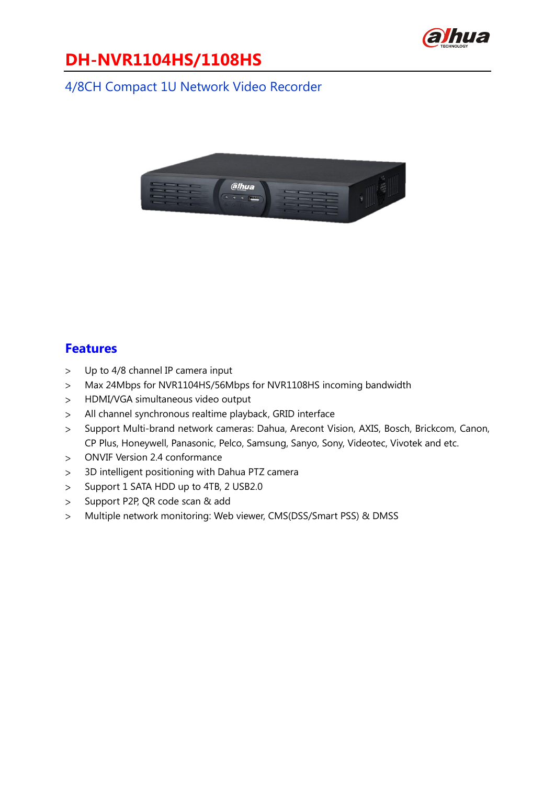

# **DH-NVR1104HS/1108HS**

### 4/8CH Compact 1U Network Video Recorder



#### **Features**

- Up to 4/8 channel IP camera input  $\geq$
- Max 24Mbps for NVR1104HS/56Mbps for NVR1108HS incoming bandwidth  $\geq$
- HDMI/VGA simultaneous video output  $\geq$
- All channel synchronous realtime playback, GRID interface  $\geq$
- Support Multi-brand network cameras: Dahua, Arecont Vision, AXIS, Bosch, Brickcom, Canon,  $\geq$ CP Plus, Honeywell, Panasonic, Pelco, Samsung, Sanyo, Sony, Videotec, Vivotek and etc.
- ONVIF Version 2.4 conformance  $\geq$
- 3D intelligent positioning with Dahua PTZ camera  $\geq$
- Support 1 SATA HDD up to 4TB, 2 USB2.0  $\geq$
- Support P2P, QR code scan & add  $\geq$
- Multiple network monitoring: Web viewer, CMS(DSS/Smart PSS) & DMSS $\geq$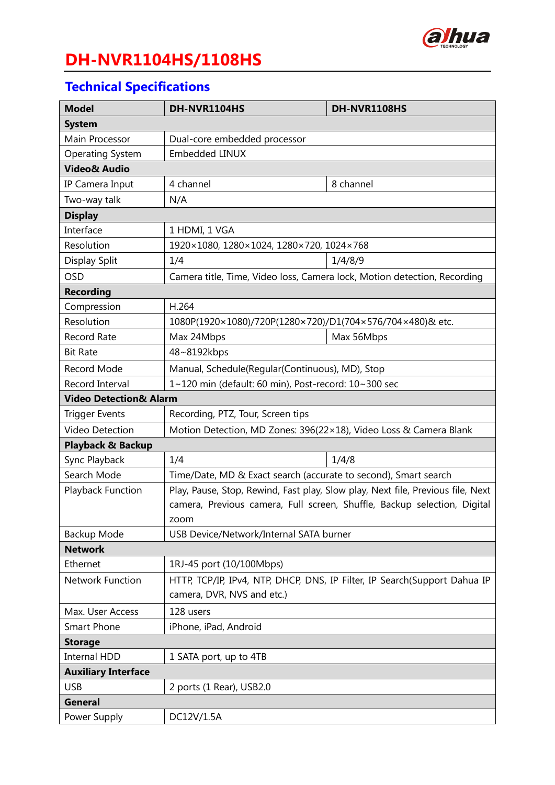

# **DH-NVR1104HS/1108HS**

### **Technical Specifications**

| <b>Model</b>                                                                                         | DH-NVR1104HS                                                              | DH-NVR1108HS                                                             |  |
|------------------------------------------------------------------------------------------------------|---------------------------------------------------------------------------|--------------------------------------------------------------------------|--|
| <b>System</b>                                                                                        |                                                                           |                                                                          |  |
| Main Processor                                                                                       | Dual-core embedded processor                                              |                                                                          |  |
| <b>Operating System</b>                                                                              | <b>Embedded LINUX</b>                                                     |                                                                          |  |
| <b>Video&amp; Audio</b>                                                                              |                                                                           |                                                                          |  |
| IP Camera Input                                                                                      | 4 channel                                                                 | 8 channel                                                                |  |
| Two-way talk                                                                                         | N/A                                                                       |                                                                          |  |
| <b>Display</b>                                                                                       |                                                                           |                                                                          |  |
| Interface                                                                                            | 1 HDMI, 1 VGA                                                             |                                                                          |  |
| Resolution                                                                                           | 1920×1080, 1280×1024, 1280×720, 1024×768                                  |                                                                          |  |
| Display Split                                                                                        | 1/4                                                                       | 1/4/8/9                                                                  |  |
| <b>OSD</b>                                                                                           | Camera title, Time, Video loss, Camera lock, Motion detection, Recording  |                                                                          |  |
| <b>Recording</b>                                                                                     |                                                                           |                                                                          |  |
| Compression                                                                                          | H.264                                                                     |                                                                          |  |
| Resolution                                                                                           | 1080P(1920×1080)/720P(1280×720)/D1(704×576/704×480)& etc.                 |                                                                          |  |
| <b>Record Rate</b>                                                                                   | Max 24Mbps                                                                | Max 56Mbps                                                               |  |
| <b>Bit Rate</b>                                                                                      | 48~8192kbps                                                               |                                                                          |  |
| <b>Record Mode</b>                                                                                   | Manual, Schedule(Regular(Continuous), MD), Stop                           |                                                                          |  |
| Record Interval                                                                                      | 1~120 min (default: 60 min), Post-record: 10~300 sec                      |                                                                          |  |
| <b>Video Detection&amp; Alarm</b>                                                                    |                                                                           |                                                                          |  |
| <b>Trigger Events</b>                                                                                | Recording, PTZ, Tour, Screen tips                                         |                                                                          |  |
| <b>Video Detection</b>                                                                               | Motion Detection, MD Zones: 396(22×18), Video Loss & Camera Blank         |                                                                          |  |
| <b>Playback &amp; Backup</b>                                                                         |                                                                           |                                                                          |  |
| Sync Playback                                                                                        | 1/4                                                                       | 1/4/8                                                                    |  |
| Search Mode                                                                                          | Time/Date, MD & Exact search (accurate to second), Smart search           |                                                                          |  |
| Play, Pause, Stop, Rewind, Fast play, Slow play, Next file, Previous file, Next<br>Playback Function |                                                                           |                                                                          |  |
|                                                                                                      |                                                                           | camera, Previous camera, Full screen, Shuffle, Backup selection, Digital |  |
|                                                                                                      | zoom                                                                      |                                                                          |  |
| Backup Mode                                                                                          | USB Device/Network/Internal SATA burner                                   |                                                                          |  |
| <b>Network</b>                                                                                       |                                                                           |                                                                          |  |
| Ethernet                                                                                             | 1RJ-45 port (10/100Mbps)                                                  |                                                                          |  |
| Network Function                                                                                     | HTTP, TCP/IP, IPv4, NTP, DHCP, DNS, IP Filter, IP Search(Support Dahua IP |                                                                          |  |
|                                                                                                      | camera, DVR, NVS and etc.)                                                |                                                                          |  |
| Max. User Access                                                                                     | 128 users                                                                 |                                                                          |  |
| <b>Smart Phone</b>                                                                                   | iPhone, iPad, Android                                                     |                                                                          |  |
| <b>Storage</b>                                                                                       |                                                                           |                                                                          |  |
| <b>Internal HDD</b>                                                                                  | 1 SATA port, up to 4TB                                                    |                                                                          |  |
| <b>Auxiliary Interface</b>                                                                           |                                                                           |                                                                          |  |
| <b>USB</b>                                                                                           | 2 ports (1 Rear), USB2.0                                                  |                                                                          |  |
| <b>General</b>                                                                                       |                                                                           |                                                                          |  |
| Power Supply                                                                                         | DC12V/1.5A                                                                |                                                                          |  |